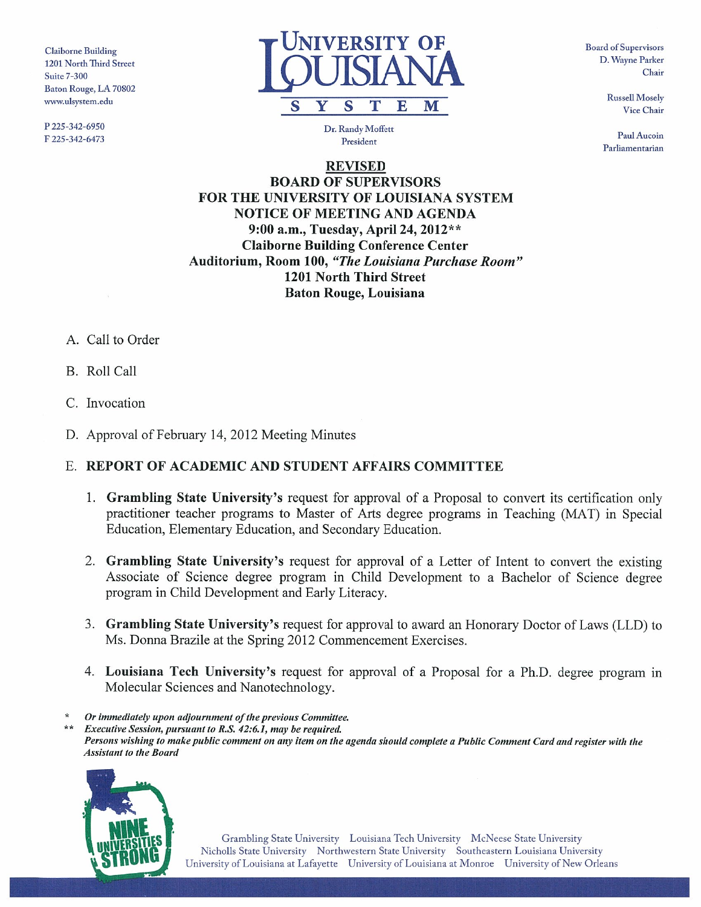Baton Rouge, LA 70802

P225-342-6950 Dr. Randy Moffen



F 225-342-6473 **President** President

Parliamentarian

REVISED BOARD OF SUPERVISORS FOR THE UNIVERSITY OF LOUISIANA SYSTEM NOTICE OF MEETING AND AGENDA 9:00 a.m., Tuesday, April 24, 2012\*\* Claiborne Building Conference Center Auditorium, Room 100, "The Louisiana Purchase Room" 1201 North Third Street Baton Rouge, Louisiana

- A. Call to Order
- B. Roll Call
- C. Invocation
- D. Approval of February 14, 2012 Meeting Minutes

### E. REPORT OF ACADEMIC AND STUDENT AFFAIRS COMMITTEE

- 1. Grambling State University's request for approval of <sup>a</sup> Proposal to convert its certification only practitioner teacher programs to Master of Arts degree programs in Teaching (MAT) in Special Education, Elementary Education, and Secondary Education.
- 2. Grambling State University's request for approval of <sup>a</sup> Letter of Intent to convert the existing Associate of Science degree program in Child Development to <sup>a</sup> Bachelor of Science degree program in Child Development and Early Literacy.
- 3. Grambling State University's request for approval to award an Honorary Doctor of Laws (LLD) to Ms. Donna Brazile at the Spring 2012 Commencement Exercises.
- 4. Louisiana Tech University's request for approval of a Proposal for a Ph.D. degree program in Molecular Sciences and Nanotechnology.
- Or immediately upon adjournment of the previous Committee.

\*Executive Session, pursuant to R.S. 42:6.1, may be required. Persons wishing to make public comment on any item on the agenda should complete <sup>a</sup> Public Comment Card and register with the Assistant to the Board

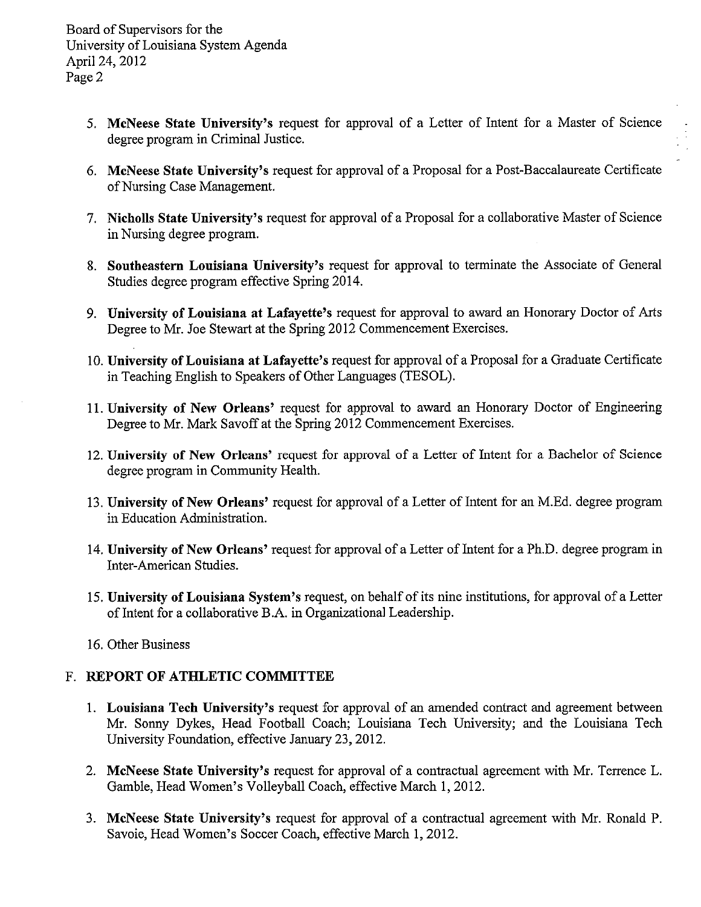- 5. McNeese State University's request for approval of <sup>a</sup> Letter of Intent for <sup>a</sup> Master of Science degree program in Criminal Justice.
- 6. McNeese State University's request for approval of <sup>a</sup> Proposal for <sup>a</sup> Post-Baccalaureate Certificate of Nursing Case Management.
- 7. Nicholls State University's request for approval of <sup>a</sup> Proposal for <sup>a</sup> collaborative Master of Science in Nursing degree program.
- 8. Southeastern Louisiana University's request for approval to terminate the Associate of General Studies degree program effective Spring 2014.
- 9. University of Louisiana at Lafayette's request for approval to award an Honorary Doctor of Arts Degree to Mr. Joe Stewart at the Spring 2012 Commencement Exercises.
- 10. University of Louisiana at Lafayette's request for approval of <sup>a</sup> Proposal for <sup>a</sup> Graduate Certificate in Teaching English to Speakers of Other Languages (TESOL).
- 11. University of New Orleans' request for approval to award an Honorary Doctor of Engineering Degree to Mr. Mark Savoff at the Spring 2012 Commencement Exercises.
- 12. University of New Orleans' request for approval of <sup>a</sup> Letter of Intent for <sup>a</sup> Bachelor of Science degree program in Community Health.
- 13. University of New Orleans' request for approval of <sup>a</sup> Letter of Intent for an M.Ed. degree program in Education Administration.
- 14. University of New Orleans' request for approval of <sup>a</sup> Letter of Intent for <sup>a</sup> Ph.D. degree program in Inter-American Studies.
- 15. University of Louisiana System's request, on behalf of its nine institutions, for approval of <sup>a</sup> Letter of Intent for <sup>a</sup> collaborative B.A. in Organizational Leadership.
- 16. Other Business

# F. REPORT OF ATHLETIC COMMITTEE

- 1. Louisiana Tech University's request for approval of an amended contract and agreement between Mr. Sonny Dykes, Head Football Coach; Louisiana Tech University; and the Louisiana Tech University Foundation, effective January 23, 2012.
- 2. McNeese State University's request for approval of <sup>a</sup> contractual agreement with Mr. Terrence L. Gamble, Head Women's Volleyball Coach, effective March 1, 2012.
- 3. McNeese State University's request for approval of <sup>a</sup> contractual agreement with Mr. Ronald P. Savoie, Head Women's Soccer Coach, effective March 1, 2012.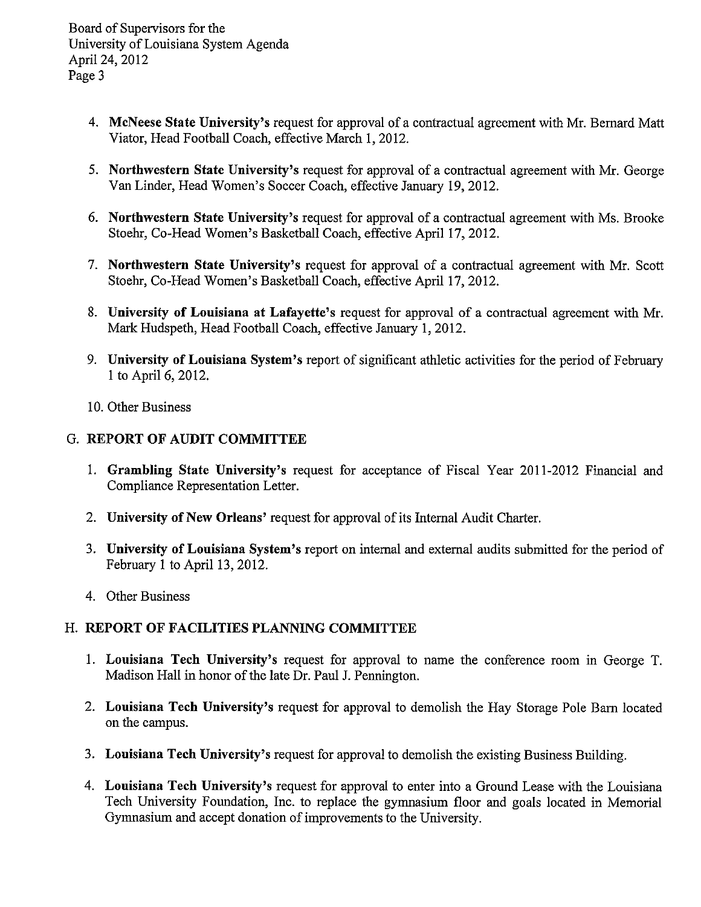Board of Supervisors for the University of Louisiana System Agenda April 24, 2012 Page 3

- 4. McNeese State University's request for approval of <sup>a</sup> contractual agreement with Mr. Bernard Matt Viator, Head Football Coach, effective March 1, 2012.
- 5. Northwestern State University's request for approval of <sup>a</sup> contractual agreement with Mr. George Van Linder, Head Women's Soccer Coach, effective January 19, 2012.
- 6. Northwestern State University's request for approval of <sup>a</sup> contractual agreement with Ms. Brooke Stoehr, Co-Head Women's Basketball Coach, effective April 17, 2012.
- 7. Northwestern State University's request for approval of <sup>a</sup> contractual agreement with Mr. Scott Stoehr, Co-Head Women's Basketball Coach, effective April 17, 2012.
- 8. University of Louisiana at Lafayette's request for approval of <sup>a</sup> contractual agreement with Mr. Mark Hudspeth, Head Football Coach, effective January 1, 2012.
- 9. University of Louisiana System's report of significant athletic activities for the period of February 1 to April 6,2012.
- 10. Other Business

### G. REPORT OF AUDIT COMMITTEE

- 1. Grambling State University's request for acceptance of Fiscal Year 2011-2012 Financial and Compliance Representation Letter.
- 2. University of New Orleans' request for approval of its Internal Audit Charter.
- 3. University of Louisiana System's report on internal and external audits submitted for the period of February 1 to April 13, 2012.
- 4. Other Business

### H. REPORT OF FACILITIES PLANNING COMMITTEE

- 1. Louisiana Tech University's request for approval to name the conference room in George T. Madison Hall in honor of the late Dr. Paul J. Pennington.
- 2. Louisiana Tech University's request for approval to demolish the Hay Storage Pole Barn located on the campus.
- 3. Louisiana Tech University's request for approval to demolish the existing Business Building.
- 4. Louisiana Tech University's request for approval to enter into <sup>a</sup> Ground Lease with the Louisiana Tech University Foundation, Inc. to replace the gymnasium floor and goals located in Memorial Gymnasium and accept donation of improvements to the University.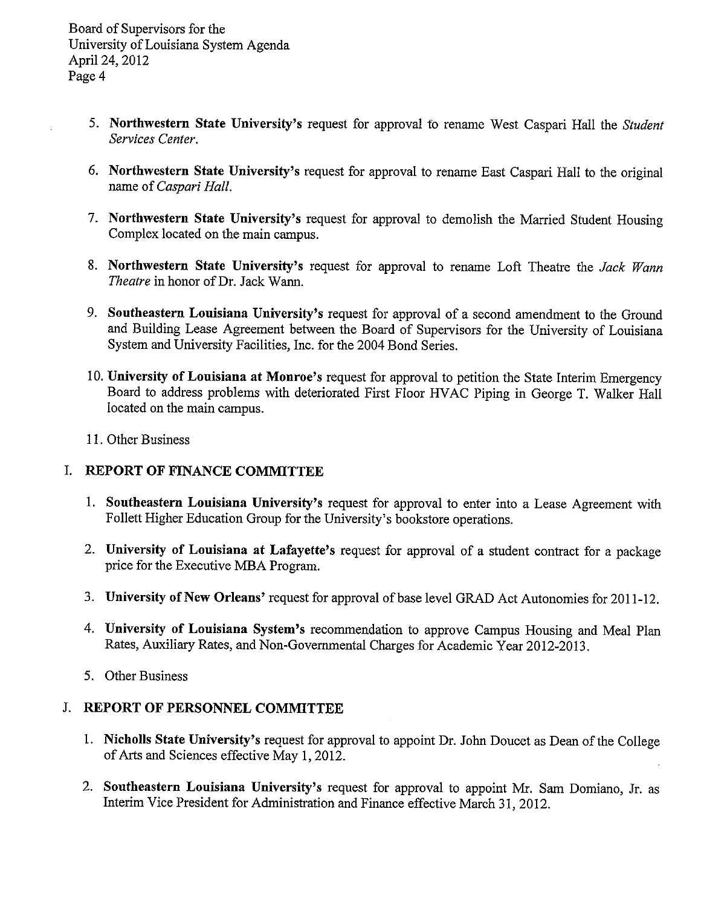- 5. Northwestern State University's request for approval to rename West Caspari Hall the Student Services Center.
- 6. Northwestern State University's request for approval to rename East Caspari Hall to the original name of Caspari Hall.
- 7. Northwestern State University's request for approval to demolish the Married Student Housing Complex located on the main campus.
- 8. Northwestern State University's request for approval to rename Loft Theatre the Jack Wann Theatre in honor of Dr. Jack Wann.
- 9. Southeastern Louisiana University's request for approval of <sup>a</sup> second amendment to the Ground and Building Lease Agreement between the Board of Supervisors for the University of Louisiana System and University Facilities, Inc. for the <sup>2004</sup> Bond Series.
- 10. University of Louisiana at Monroe's request for approval to petition the State Interim Emergency Board to address problems with deteriorated First Floor HVAC Piping in George T. Walker Hall located on the main campus.
- 11. Other Business

### I. REPORT OF FINANCE COMMITTEE

- 1. Southeastern Louisiana University's request for approval to enter into <sup>a</sup> Lease Agreement with Follett Higher Education Group for the University's bookstore operations.
- 2. University of Louisiana at Lafayette's request for approval of <sup>a</sup> student contract for <sup>a</sup> package price for the Executive MBA Program.
- 3. University of New Orleans' request for approval of base level GRAD Act Autonomies for 2011-12.
- 4. University of Louisiana System's recommendation to approve Campus Housing and Meal Plan Rates, Auxiliary Rates, and Non-Governmental Charges for Academic Year 2012-20 13.
- 5. Other Business

### J. REPORT OF PERSONNEL COMMITTEE

- 1. Nicholls State University's request for approval to appoint Dr. John Doucet as Dean of the College of Arts and Sciences effective May 1, 2012.
- 2. Southeastern Louisiana University's request for approval to appoint Mr. Sam Domiano, Jr. as Interim Vice President for Administration and Finance effective March 31, 2012.